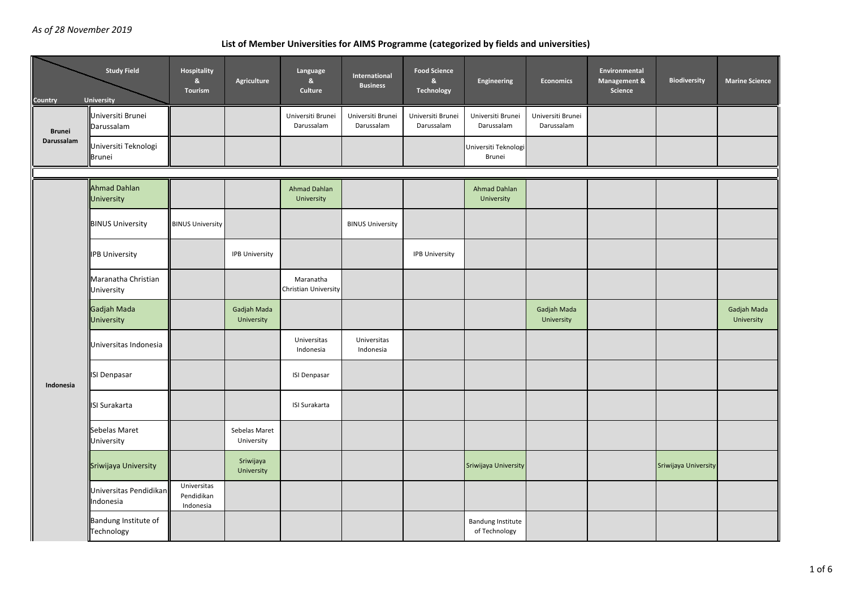## **List of Member Universities for AIMS Programme (categorized by fields and universities)**

| Country       | <b>Study Field</b><br><b>University</b> | Hospitality<br>&<br>Tourism            | Agriculture                 | Language<br>$\mathbf{g}_\mathrm{t}$<br>Culture | International<br><b>Business</b> | <b>Food Science</b><br>$\mathbf{g}_\mathrm{t}$<br><b>Technology</b> | Engineering                               | <b>Economics</b>                | Environmental<br>Management &<br>Science | <b>Biodiversity</b>  | <b>Marine Science</b>     |
|---------------|-----------------------------------------|----------------------------------------|-----------------------------|------------------------------------------------|----------------------------------|---------------------------------------------------------------------|-------------------------------------------|---------------------------------|------------------------------------------|----------------------|---------------------------|
| <b>Brunei</b> | Universiti Brunei<br>Darussalam         |                                        |                             | Universiti Brunei<br>Darussalam                | Universiti Brunei<br>Darussalam  | Universiti Brunei<br>Darussalam                                     | Universiti Brunei<br>Darussalam           | Universiti Brunei<br>Darussalam |                                          |                      |                           |
| Darussalam    | Universiti Teknologi<br><b>Brunei</b>   |                                        |                             |                                                |                                  |                                                                     | Universiti Teknologi<br>Brunei            |                                 |                                          |                      |                           |
|               |                                         |                                        |                             |                                                |                                  |                                                                     |                                           |                                 |                                          |                      |                           |
|               | <b>Ahmad Dahlan</b><br>University       |                                        |                             | Ahmad Dahlan<br>University                     |                                  |                                                                     | <b>Ahmad Dahlan</b><br>University         |                                 |                                          |                      |                           |
|               | <b>BINUS University</b>                 | <b>BINUS University</b>                |                             |                                                | <b>BINUS University</b>          |                                                                     |                                           |                                 |                                          |                      |                           |
|               | <b>IPB University</b>                   |                                        | <b>IPB University</b>       |                                                |                                  | IPB University                                                      |                                           |                                 |                                          |                      |                           |
|               | Maranatha Christian<br>University       |                                        |                             | Maranatha<br>Christian University              |                                  |                                                                     |                                           |                                 |                                          |                      |                           |
|               | Gadjah Mada<br>University               |                                        | Gadjah Mada<br>University   |                                                |                                  |                                                                     |                                           | Gadjah Mada<br>University       |                                          |                      | Gadjah Mada<br>University |
|               | Universitas Indonesia                   |                                        |                             | Universitas<br>Indonesia                       | Universitas<br>Indonesia         |                                                                     |                                           |                                 |                                          |                      |                           |
| Indonesia     | ISI Denpasar                            |                                        |                             | <b>ISI Denpasar</b>                            |                                  |                                                                     |                                           |                                 |                                          |                      |                           |
|               | <b>ISI Surakarta</b>                    |                                        |                             | <b>ISI Surakarta</b>                           |                                  |                                                                     |                                           |                                 |                                          |                      |                           |
|               | Sebelas Maret<br>University             |                                        | Sebelas Maret<br>University |                                                |                                  |                                                                     |                                           |                                 |                                          |                      |                           |
|               | Sriwijaya University                    |                                        | Sriwijaya<br>University     |                                                |                                  |                                                                     | Sriwijaya University                      |                                 |                                          | Sriwijaya University |                           |
|               | Universitas Pendidikan<br>Indonesia     | Universitas<br>Pendidikan<br>Indonesia |                             |                                                |                                  |                                                                     |                                           |                                 |                                          |                      |                           |
|               | Bandung Institute of<br>Technology      |                                        |                             |                                                |                                  |                                                                     | <b>Bandung Institute</b><br>of Technology |                                 |                                          |                      |                           |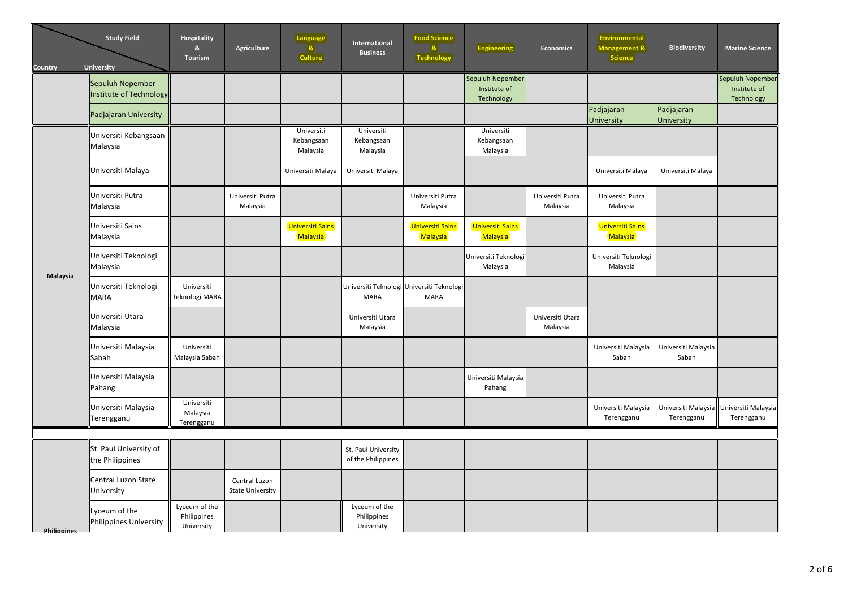| Country            | <b>Study Field</b><br>University            | <b>Hospitality</b><br>&<br><b>Tourism</b>  | Agriculture                              | <b>Language</b><br>$\left  \mathbf{a} \right $<br>Culture | International<br><b>Business</b>           | <b>Food Science</b><br>$\mathbf{a}$<br><b>Technology</b> | <b>Engineering</b>                             | <b>Economics</b>             | <b>Environmental</b><br>Management &<br>Science | <b>Biodiversity</b>               | <b>Marine Science</b>                          |
|--------------------|---------------------------------------------|--------------------------------------------|------------------------------------------|-----------------------------------------------------------|--------------------------------------------|----------------------------------------------------------|------------------------------------------------|------------------------------|-------------------------------------------------|-----------------------------------|------------------------------------------------|
|                    | Sepuluh Nopember<br>Institute of Technology |                                            |                                          |                                                           |                                            |                                                          | Sepuluh Nopember<br>Institute of<br>Technology |                              |                                                 |                                   | Sepuluh Nopember<br>Institute of<br>Technology |
|                    | Padjajaran University                       |                                            |                                          |                                                           |                                            |                                                          |                                                |                              | Padjajaran<br><b>University</b>                 | Padjajaran<br>University          |                                                |
|                    | Universiti Kebangsaan<br>Malaysia           |                                            |                                          | Universiti<br>Kebangsaan<br>Malaysia                      | Universiti<br>Kebangsaan<br>Malaysia       |                                                          | Universiti<br>Kebangsaan<br>Malaysia           |                              |                                                 |                                   |                                                |
|                    | Universiti Malaya                           |                                            |                                          | Universiti Malaya                                         | Universiti Malaya                          |                                                          |                                                |                              | Universiti Malaya                               | Universiti Malaya                 |                                                |
| Malaysia           | Universiti Putra<br>Malaysia                |                                            | Universiti Putra<br>Malaysia             |                                                           |                                            | Universiti Putra<br>Malaysia                             |                                                | Universiti Putra<br>Malaysia | Universiti Putra<br>Malaysia                    |                                   |                                                |
|                    | Universiti Sains<br>Malaysia                |                                            |                                          | <b>Universiti Sains</b><br>Malaysia                       |                                            | <b>Universiti Sains</b><br>Malaysia                      | <b>Universiti Sains</b><br><b>Malaysia</b>     |                              | Universiti Sains<br>Malaysia                    |                                   |                                                |
|                    | Universiti Teknologi<br>Malaysia            |                                            |                                          |                                                           |                                            |                                                          | Universiti Teknologi<br>Malaysia               |                              | Universiti Teknologi<br>Malaysia                |                                   |                                                |
|                    | Universiti Teknologi<br><b>MARA</b>         | Universiti<br>Teknologi MARA               |                                          |                                                           | <b>MARA</b>                                | Universiti Teknologi Universiti Teknologi<br><b>MARA</b> |                                                |                              |                                                 |                                   |                                                |
|                    | Universiti Utara<br>Malaysia                |                                            |                                          |                                                           | Universiti Utara<br>Malaysia               |                                                          |                                                | Universiti Utara<br>Malaysia |                                                 |                                   |                                                |
|                    | Universiti Malaysia<br>Sabah                | Universiti<br>Malaysia Sabah               |                                          |                                                           |                                            |                                                          |                                                |                              | Universiti Malaysia<br>Sabah                    | Universiti Malaysia<br>Sabah      |                                                |
|                    | Universiti Malaysia<br>Pahang               |                                            |                                          |                                                           |                                            |                                                          | Universiti Malaysia<br>Pahang                  |                              |                                                 |                                   |                                                |
|                    | Universiti Malaysia<br>Terengganu           | Universiti<br>Malaysia<br>Terengganu       |                                          |                                                           |                                            |                                                          |                                                |                              | Universiti Malaysia<br>Terengganu               | Universiti Malaysia<br>Terengganu | Universiti Malaysia<br>Terengganu              |
|                    |                                             |                                            |                                          |                                                           |                                            |                                                          |                                                |                              |                                                 |                                   |                                                |
|                    | St. Paul University of<br>the Philippines   |                                            |                                          |                                                           | St. Paul University<br>of the Philippines  |                                                          |                                                |                              |                                                 |                                   |                                                |
|                    | Central Luzon State<br>University           |                                            | Central Luzon<br><b>State University</b> |                                                           |                                            |                                                          |                                                |                              |                                                 |                                   |                                                |
| <b>Philinnines</b> | Lyceum of the<br>Philippines University     | Lyceum of the<br>Philippines<br>University |                                          |                                                           | Lyceum of the<br>Philippines<br>University |                                                          |                                                |                              |                                                 |                                   |                                                |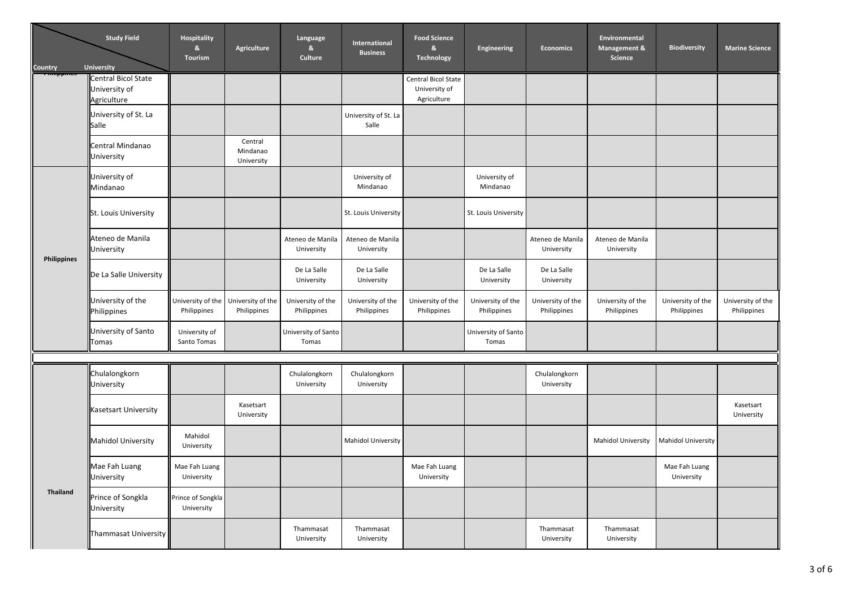| Country             | <b>Study Field</b><br><b>University</b>             | Hospitality<br>&<br>Tourism      | <b>Agriculture</b>                | Language<br>$\mathbf{g}_\mathrm{t}$<br>Culture | International<br><b>Business</b> | <b>Food Science</b><br>&<br><b>Technology</b>       | Engineering                      | <b>Economics</b>                 | Environmental<br>Management &<br>Science | <b>Biodiversity</b>              | <b>Marine Science</b>            |
|---------------------|-----------------------------------------------------|----------------------------------|-----------------------------------|------------------------------------------------|----------------------------------|-----------------------------------------------------|----------------------------------|----------------------------------|------------------------------------------|----------------------------------|----------------------------------|
| <del>rmmppmes</del> | Central Bicol State<br>University of<br>Agriculture |                                  |                                   |                                                |                                  | Central Bicol State<br>University of<br>Agriculture |                                  |                                  |                                          |                                  |                                  |
|                     | University of St. La<br>Salle                       |                                  |                                   |                                                | University of St. La<br>Salle    |                                                     |                                  |                                  |                                          |                                  |                                  |
|                     | Central Mindanao<br>University                      |                                  | Central<br>Mindanao<br>University |                                                |                                  |                                                     |                                  |                                  |                                          |                                  |                                  |
|                     | University of<br>Mindanao                           |                                  |                                   |                                                | University of<br>Mindanao        |                                                     | University of<br>Mindanao        |                                  |                                          |                                  |                                  |
|                     | St. Louis University                                |                                  |                                   |                                                | St. Louis University             |                                                     | St. Louis University             |                                  |                                          |                                  |                                  |
| Philippines         | Ateneo de Manila<br>University                      |                                  |                                   | Ateneo de Manila<br>University                 | Ateneo de Manila<br>University   |                                                     |                                  | Ateneo de Manila<br>University   | Ateneo de Manila<br>University           |                                  |                                  |
|                     | De La Salle University                              |                                  |                                   | De La Salle<br>University                      | De La Salle<br>University        |                                                     | De La Salle<br>University        | De La Salle<br>University        |                                          |                                  |                                  |
|                     | University of the<br>Philippines                    | University of the<br>Philippines | University of the<br>Philippines  | University of the<br>Philippines               | University of the<br>Philippines | University of the<br>Philippines                    | University of the<br>Philippines | University of the<br>Philippines | University of the<br>Philippines         | University of the<br>Philippines | University of the<br>Philippines |
|                     | University of Santo<br>Tomas                        | University of<br>Santo Tomas     |                                   | University of Santo<br>Tomas                   |                                  |                                                     | University of Santo<br>Tomas     |                                  |                                          |                                  |                                  |
|                     |                                                     |                                  |                                   |                                                |                                  |                                                     |                                  |                                  |                                          |                                  |                                  |
|                     | Chulalongkorn<br>University                         |                                  |                                   | Chulalongkorn<br>University                    | Chulalongkorn<br>University      |                                                     |                                  | Chulalongkorn<br>University      |                                          |                                  |                                  |
|                     | <b>Kasetsart University</b>                         |                                  | Kasetsart<br>University           |                                                |                                  |                                                     |                                  |                                  |                                          |                                  | Kasetsart<br>University          |
|                     | <b>Mahidol University</b>                           | Mahidol<br>University            |                                   |                                                | <b>Mahidol University</b>        |                                                     |                                  |                                  | <b>Mahidol University</b>                | <b>Mahidol University</b>        |                                  |
|                     | Mae Fah Luang<br>University                         | Mae Fah Luang<br>University      |                                   |                                                |                                  | Mae Fah Luang<br>University                         |                                  |                                  |                                          | Mae Fah Luang<br>University      |                                  |
| Thailand            | Prince of Songkla<br>University                     | Prince of Songkla<br>University  |                                   |                                                |                                  |                                                     |                                  |                                  |                                          |                                  |                                  |
|                     | Thammasat University                                |                                  |                                   | Thammasat<br>University                        | Thammasat<br>University          |                                                     |                                  | Thammasat<br>University          | Thammasat<br>University                  |                                  |                                  |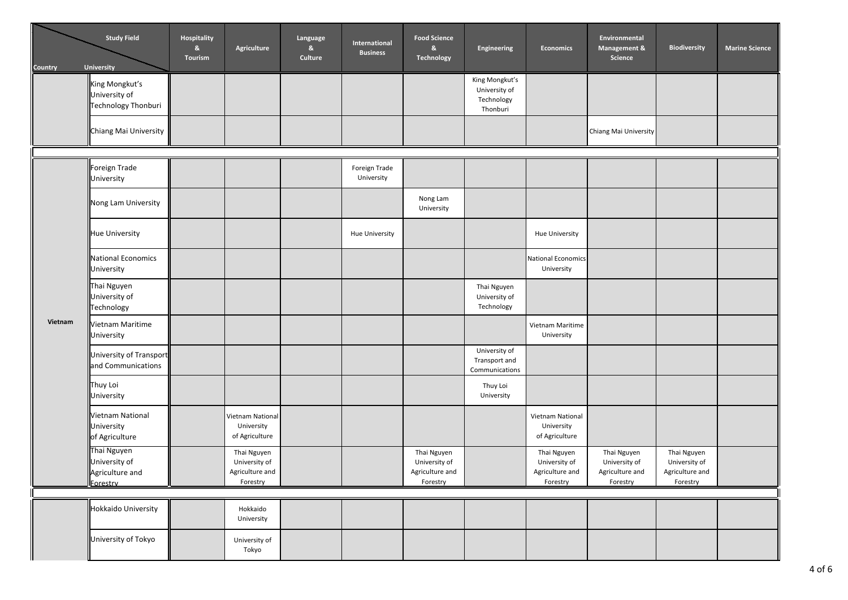| <b>Country</b> | <b>Study Field</b><br><b>University</b>                     | Hospitality<br>&<br>Tourism | Agriculture                                                 | Language<br>8<br>Culture | International<br><b>Business</b> | <b>Food Science</b><br>&<br>Technology                      | <b>Engineering</b>                                        | <b>Economics</b>                                            | Environmental<br>Management &<br>Science                    | <b>Biodiversity</b>                                         | <b>Marine Science</b> |
|----------------|-------------------------------------------------------------|-----------------------------|-------------------------------------------------------------|--------------------------|----------------------------------|-------------------------------------------------------------|-----------------------------------------------------------|-------------------------------------------------------------|-------------------------------------------------------------|-------------------------------------------------------------|-----------------------|
|                | King Mongkut's<br>University of<br>Technology Thonburi      |                             |                                                             |                          |                                  |                                                             | King Mongkut's<br>University of<br>Technology<br>Thonburi |                                                             |                                                             |                                                             |                       |
|                | Chiang Mai University                                       |                             |                                                             |                          |                                  |                                                             |                                                           |                                                             | Chiang Mai University                                       |                                                             |                       |
|                |                                                             |                             |                                                             |                          |                                  |                                                             |                                                           |                                                             |                                                             |                                                             |                       |
|                | Foreign Trade<br>University                                 |                             |                                                             |                          | Foreign Trade<br>University      |                                                             |                                                           |                                                             |                                                             |                                                             |                       |
|                | Nong Lam University                                         |                             |                                                             |                          |                                  | Nong Lam<br>University                                      |                                                           |                                                             |                                                             |                                                             |                       |
|                | <b>Hue University</b>                                       |                             |                                                             |                          | Hue University                   |                                                             |                                                           | <b>Hue University</b>                                       |                                                             |                                                             |                       |
|                | National Economics<br>University                            |                             |                                                             |                          |                                  |                                                             |                                                           | <b>National Economics</b><br>University                     |                                                             |                                                             |                       |
|                | Thai Nguyen<br>University of<br>Technology                  |                             |                                                             |                          |                                  |                                                             | Thai Nguyen<br>University of<br>Technology                |                                                             |                                                             |                                                             |                       |
| Vietnam        | Vietnam Maritime<br>University                              |                             |                                                             |                          |                                  |                                                             |                                                           | Vietnam Maritime<br>University                              |                                                             |                                                             |                       |
|                | University of Transport<br>and Communications               |                             |                                                             |                          |                                  |                                                             | University of<br>Transport and<br>Communications          |                                                             |                                                             |                                                             |                       |
|                | Thuy Loi<br>University                                      |                             |                                                             |                          |                                  |                                                             | Thuy Loi<br>University                                    |                                                             |                                                             |                                                             |                       |
|                | Vietnam National<br>University<br>of Agriculture            |                             | Vietnam National<br>University<br>of Agriculture            |                          |                                  |                                                             |                                                           | Vietnam National<br>University<br>of Agriculture            |                                                             |                                                             |                       |
|                | Thai Nguyen<br>University of<br>Agriculture and<br>Forestry |                             | Thai Nguyen<br>University of<br>Agriculture and<br>Forestry |                          |                                  | Thai Nguyen<br>University of<br>Agriculture and<br>Forestry |                                                           | Thai Nguyen<br>University of<br>Agriculture and<br>Forestry | Thai Nguyen<br>University of<br>Agriculture and<br>Forestry | Thai Nguyen<br>University of<br>Agriculture and<br>Forestry |                       |
|                |                                                             |                             |                                                             |                          |                                  |                                                             |                                                           |                                                             |                                                             |                                                             |                       |
|                | Hokkaido University                                         |                             | Hokkaido<br>University                                      |                          |                                  |                                                             |                                                           |                                                             |                                                             |                                                             |                       |
|                | University of Tokyo                                         |                             | University of<br>Tokyo                                      |                          |                                  |                                                             |                                                           |                                                             |                                                             |                                                             |                       |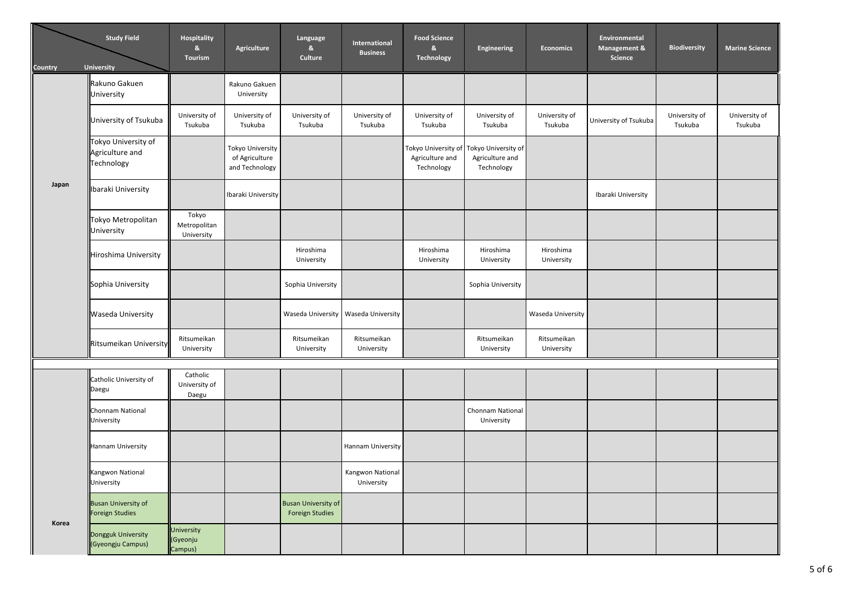| <b>Country</b> | <b>Study Field</b><br><b>University</b>              | Hospitality<br>&<br>Tourism         | Agriculture                                          | Language<br>$\mathbf{g}_\mathrm{t}$<br>Culture       | International<br><b>Business</b> | <b>Food Science</b><br>&<br>Technology               | Engineering                                          | <b>Economics</b>          | Environmental<br>Management &<br>Science | <b>Biodiversity</b>      | <b>Marine Science</b>    |
|----------------|------------------------------------------------------|-------------------------------------|------------------------------------------------------|------------------------------------------------------|----------------------------------|------------------------------------------------------|------------------------------------------------------|---------------------------|------------------------------------------|--------------------------|--------------------------|
|                | Rakuno Gakuen<br>University                          |                                     | Rakuno Gakuen<br>University                          |                                                      |                                  |                                                      |                                                      |                           |                                          |                          |                          |
|                | University of Tsukuba                                | University of<br>Tsukuba            | University of<br>Tsukuba                             | University of<br>Tsukuba                             | University of<br>Tsukuba         | University of<br>Tsukuba                             | University of<br>Tsukuba                             | University of<br>Tsukuba  | University of Tsukuba                    | University of<br>Tsukuba | University of<br>Tsukuba |
| Japan          | Tokyo University of<br>Agriculture and<br>Technology |                                     | Tokyo University<br>of Agriculture<br>and Technology |                                                      |                                  | Tokyo University of<br>Agriculture and<br>Technology | Tokyo University of<br>Agriculture and<br>Technology |                           |                                          |                          |                          |
|                | Ibaraki University                                   |                                     | Ibaraki University                                   |                                                      |                                  |                                                      |                                                      |                           | Ibaraki University                       |                          |                          |
|                | Tokyo Metropolitan<br>University                     | Tokyo<br>Metropolitan<br>University |                                                      |                                                      |                                  |                                                      |                                                      |                           |                                          |                          |                          |
|                | Hiroshima University                                 |                                     |                                                      | Hiroshima<br>University                              |                                  | Hiroshima<br>University                              | Hiroshima<br>University                              | Hiroshima<br>University   |                                          |                          |                          |
|                | Sophia University                                    |                                     |                                                      | Sophia University                                    |                                  |                                                      | Sophia University                                    |                           |                                          |                          |                          |
|                | <b>Waseda University</b>                             |                                     |                                                      | Waseda University                                    | Waseda University                |                                                      |                                                      | Waseda University         |                                          |                          |                          |
|                | Ritsumeikan University                               | Ritsumeikan<br>University           |                                                      | Ritsumeikan<br>University                            | Ritsumeikan<br>University        |                                                      | Ritsumeikan<br>University                            | Ritsumeikan<br>University |                                          |                          |                          |
|                |                                                      | Catholic                            |                                                      |                                                      |                                  |                                                      |                                                      |                           |                                          |                          |                          |
|                | Catholic University of<br>Daegu                      | University of<br>Daegu              |                                                      |                                                      |                                  |                                                      |                                                      |                           |                                          |                          |                          |
|                | Chonnam National<br>University                       |                                     |                                                      |                                                      |                                  |                                                      | Chonnam National<br>University                       |                           |                                          |                          |                          |
|                | Hannam University                                    |                                     |                                                      |                                                      | Hannam University                |                                                      |                                                      |                           |                                          |                          |                          |
|                | Kangwon National<br>University                       |                                     |                                                      |                                                      | Kangwon National<br>University   |                                                      |                                                      |                           |                                          |                          |                          |
|                | <b>Busan University of</b><br><b>Foreign Studies</b> |                                     |                                                      | <b>Busan University of</b><br><b>Foreign Studies</b> |                                  |                                                      |                                                      |                           |                                          |                          |                          |
| Korea          | Dongguk University<br>(Gyeongju Campus)              | University<br>(Gyeonju<br>Campus)   |                                                      |                                                      |                                  |                                                      |                                                      |                           |                                          |                          |                          |